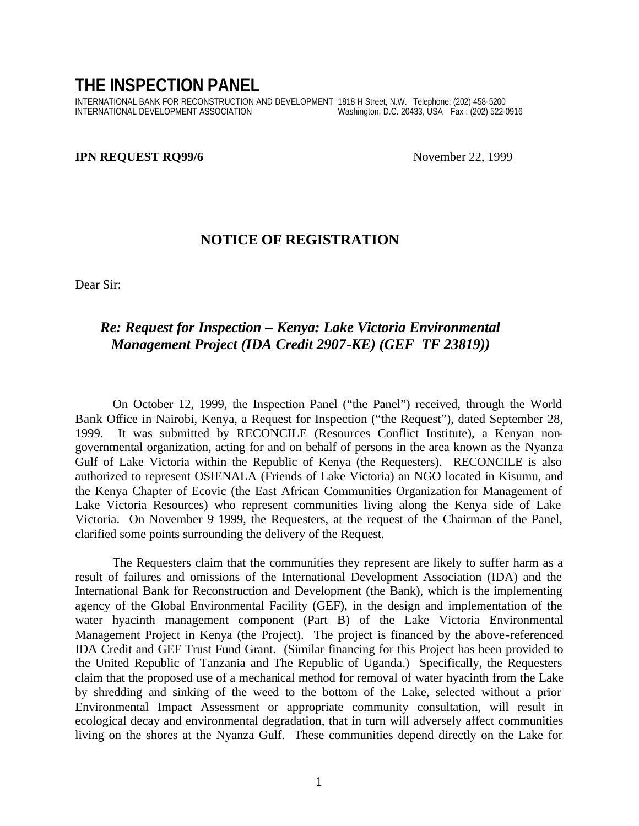## **THE INSPECTION PANEL**

INTERNATIONAL BANK FOR RECONSTRUCTION AND DEVELOPMENT 1818 H Street, N.W. Telephone: (202) 458-5200 Washington, D.C. 20433, USA Fax : (202) 522-0916

## **IPN REQUEST RQ99/6** November 22, 1999

## **NOTICE OF REGISTRATION**

Dear Sir:

## *Re: Request for Inspection – Kenya: Lake Victoria Environmental Management Project (IDA Credit 2907-KE) (GEF TF 23819))*

On October 12, 1999, the Inspection Panel ("the Panel") received, through the World Bank Office in Nairobi, Kenya, a Request for Inspection ("the Request"), dated September 28, 1999. It was submitted by RECONCILE (Resources Conflict Institute), a Kenyan nongovernmental organization, acting for and on behalf of persons in the area known as the Nyanza Gulf of Lake Victoria within the Republic of Kenya (the Requesters). RECONCILE is also authorized to represent OSIENALA (Friends of Lake Victoria) an NGO located in Kisumu, and the Kenya Chapter of Ecovic (the East African Communities Organization for Management of Lake Victoria Resources) who represent communities living along the Kenya side of Lake Victoria. On November 9, 1999, the Requesters, at the request of the Chairman of the Panel, clarified some points surrounding the delivery of the Request.

The Requesters claim that the communities they represent are likely to suffer harm as a result of failures and omissions of the International Development Association (IDA) and the International Bank for Reconstruction and Development (the Bank), which is the implementing agency of the Global Environmental Facility (GEF), in the design and implementation of the water hyacinth management component (Part B) of the Lake Victoria Environmental Management Project in Kenya (the Project). The project is financed by the above-referenced IDA Credit and GEF Trust Fund Grant. (Similar financing for this Project has been provided to the United Republic of Tanzania and The Republic of Uganda.) Specifically, the Requesters claim that the proposed use of a mechanical method for removal of water hyacinth from the Lake by shredding and sinking of the weed to the bottom of the Lake, selected without a prior Environmental Impact Assessment or appropriate community consultation, will result in ecological decay and environmental degradation, that in turn will adversely affect communities living on the shores at the Nyanza Gulf. These communities depend directly on the Lake for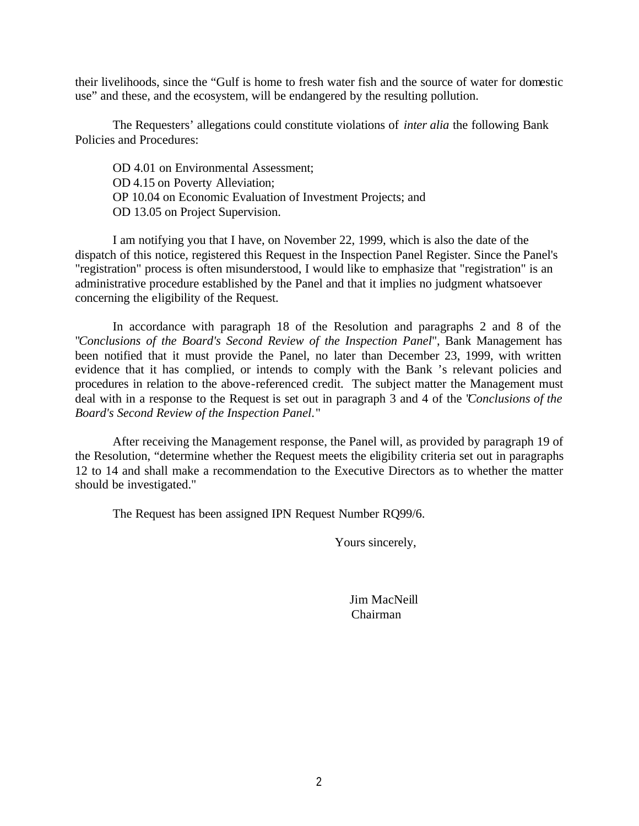their livelihoods, since the "Gulf is home to fresh water fish and the source of water for domestic use" and these, and the ecosystem, will be endangered by the resulting pollution.

The Requesters' allegations could constitute violations of *inter alia* the following Bank Policies and Procedures:

OD 4.01 on Environmental Assessment; OD 4.15 on Poverty Alleviation; OP 10.04 on Economic Evaluation of Investment Projects; and OD 13.05 on Project Supervision.

I am notifying you that I have, on November 22, 1999, which is also the date of the dispatch of this notice, registered this Request in the Inspection Panel Register. Since the Panel's "registration" process is often misunderstood, I would like to emphasize that "registration" is an administrative procedure established by the Panel and that it implies no judgment whatsoever concerning the eligibility of the Request.

In accordance with paragraph 18 of the Resolution and paragraphs 2 and 8 of the "*Conclusions of the Board's Second Review of the Inspection Panel*", Bank Management has been notified that it must provide the Panel, no later than December 23, 1999, with written evidence that it has complied, or intends to comply with the Bank 's relevant policies and procedures in relation to the above-referenced credit. The subject matter the Management must deal with in a response to the Request is set out in paragraph 3 and 4 of the "*Conclusions of the Board's Second Review of the Inspection Panel*."

After receiving the Management response, the Panel will, as provided by paragraph 19 of the Resolution, "determine whether the Request meets the eligibility criteria set out in paragraphs 12 to 14 and shall make a recommendation to the Executive Directors as to whether the matter should be investigated."

The Request has been assigned IPN Request Number RQ99/6.

Yours sincerely,

 Jim MacNeill Chairman